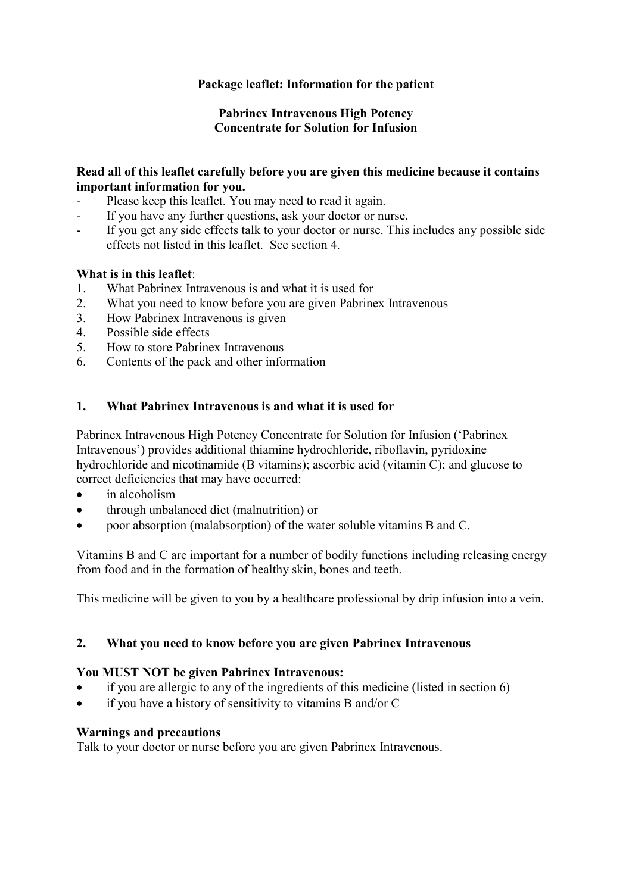# **Package leaflet: Information for the patient**

## **Pabrinex Intravenous High Potency Concentrate for Solution for Infusion**

## **Read all of this leaflet carefully before you are given this medicine because it contains important information for you.**

- Please keep this leaflet. You may need to read it again.
- If you have any further questions, ask your doctor or nurse.
- If you get any side effects talk to your doctor or nurse. This includes any possible side effects not listed in this leaflet. See section 4.

# **What is in this leaflet**:

- 1. What Pabrinex Intravenous is and what it is used for
- 2. What you need to know before you are given Pabrinex Intravenous
- 3. How Pabrinex Intravenous is given
- 4. Possible side effects
- 5. How to store Pabrinex Intravenous
- 6. Contents of the pack and other information

# **1. What Pabrinex Intravenous is and what it is used for**

Pabrinex Intravenous High Potency Concentrate for Solution for Infusion ('Pabrinex Intravenous') provides additional thiamine hydrochloride, riboflavin, pyridoxine hydrochloride and nicotinamide (B vitamins); ascorbic acid (vitamin C); and glucose to correct deficiencies that may have occurred:

- in alcoholism
- through unbalanced diet (malnutrition) or
- poor absorption (malabsorption) of the water soluble vitamins B and C.

Vitamins B and C are important for a number of bodily functions including releasing energy from food and in the formation of healthy skin, bones and teeth.

This medicine will be given to you by a healthcare professional by drip infusion into a vein.

# **2. What you need to know before you are given Pabrinex Intravenous**

#### **You MUST NOT be given Pabrinex Intravenous:**

- if you are allergic to any of the ingredients of this medicine (listed in section 6)
- if you have a history of sensitivity to vitamins B and/or C

#### **Warnings and precautions**

Talk to your doctor or nurse before you are given Pabrinex Intravenous.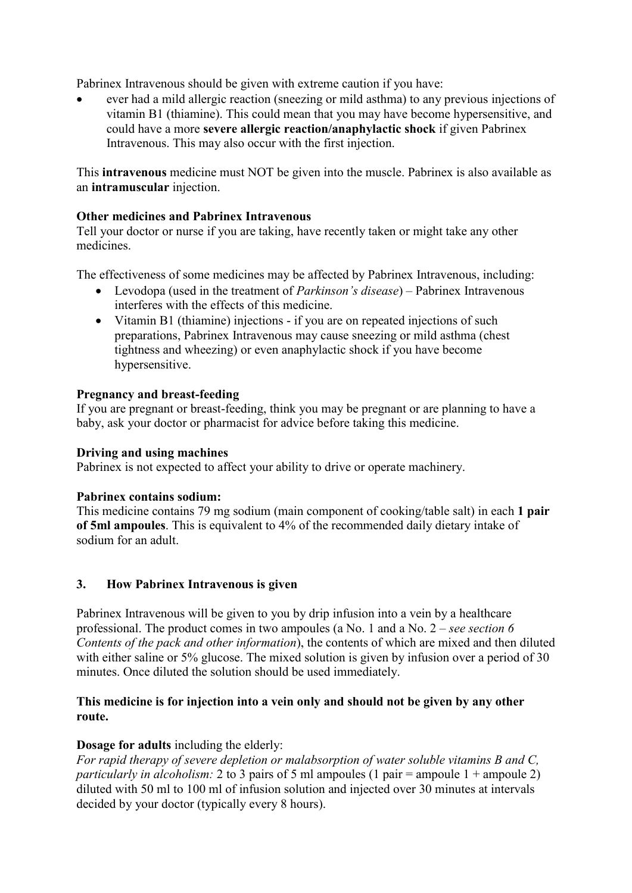Pabrinex Intravenous should be given with extreme caution if you have:

 ever had a mild allergic reaction (sneezing or mild asthma) to any previous injections of vitamin B1 (thiamine). This could mean that you may have become hypersensitive, and could have a more **severe allergic reaction/anaphylactic shock** if given Pabrinex Intravenous. This may also occur with the first injection.

This **intravenous** medicine must NOT be given into the muscle. Pabrinex is also available as an **intramuscular** injection.

## **Other medicines and Pabrinex Intravenous**

Tell your doctor or nurse if you are taking, have recently taken or might take any other medicines.

The effectiveness of some medicines may be affected by Pabrinex Intravenous, including:

- Levodopa (used in the treatment of *Parkinson's disease*) Pabrinex Intravenous interferes with the effects of this medicine.
- Vitamin B1 (thiamine) injections if you are on repeated injections of such preparations, Pabrinex Intravenous may cause sneezing or mild asthma (chest tightness and wheezing) or even anaphylactic shock if you have become hypersensitive.

## **Pregnancy and breast-feeding**

If you are pregnant or breast-feeding, think you may be pregnant or are planning to have a baby, ask your doctor or pharmacist for advice before taking this medicine.

#### **Driving and using machines**

Pabrinex is not expected to affect your ability to drive or operate machinery.

#### **Pabrinex contains sodium:**

This medicine contains 79 mg sodium (main component of cooking/table salt) in each **1 pair of 5ml ampoules**. This is equivalent to 4% of the recommended daily dietary intake of sodium for an adult.

# **3. How Pabrinex Intravenous is given**

Pabrinex Intravenous will be given to you by drip infusion into a vein by a healthcare professional. The product comes in two ampoules (a No. 1 and a No. 2 – *see section 6 Contents of the pack and other information*), the contents of which are mixed and then diluted with either saline or 5% glucose. The mixed solution is given by infusion over a period of 30 minutes. Once diluted the solution should be used immediately.

## **This medicine is for injection into a vein only and should not be given by any other route.**

#### **Dosage for adults** including the elderly:

*For rapid therapy of severe depletion or malabsorption of water soluble vitamins B and C, particularly in alcoholism:* 2 to 3 pairs of 5 ml ampoules (1 pair = ampoule 1 + ampoule 2) diluted with 50 ml to 100 ml of infusion solution and injected over 30 minutes at intervals decided by your doctor (typically every 8 hours).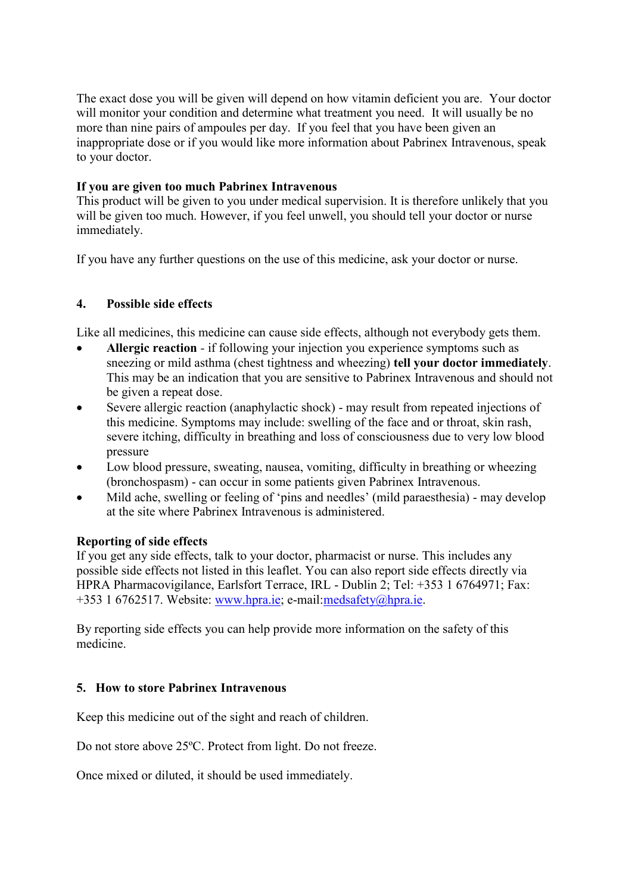The exact dose you will be given will depend on how vitamin deficient you are. Your doctor will monitor your condition and determine what treatment you need. It will usually be no more than nine pairs of ampoules per day. If you feel that you have been given an inappropriate dose or if you would like more information about Pabrinex Intravenous, speak to your doctor.

## **If you are given too much Pabrinex Intravenous**

This product will be given to you under medical supervision. It is therefore unlikely that you will be given too much. However, if you feel unwell, you should tell your doctor or nurse immediately.

If you have any further questions on the use of this medicine, ask your doctor or nurse.

# **4. Possible side effects**

Like all medicines, this medicine can cause side effects, although not everybody gets them.

- **Allergic reaction** *-* if following your injection you experience symptoms such as sneezing or mild asthma (chest tightness and wheezing) **tell your doctor immediately**. This may be an indication that you are sensitive to Pabrinex Intravenous and should not be given a repeat dose.
- Severe allergic reaction (anaphylactic shock) may result from repeated injections of this medicine. Symptoms may include: swelling of the face and or throat, skin rash, severe itching, difficulty in breathing and loss of consciousness due to very low blood pressure
- Low blood pressure, sweating, nausea, vomiting, difficulty in breathing or wheezing (bronchospasm) - can occur in some patients given Pabrinex Intravenous.
- Mild ache, swelling or feeling of 'pins and needles' (mild paraesthesia) may develop at the site where Pabrinex Intravenous is administered.

# **Reporting of side effects**

If you get any side effects, talk to your doctor, pharmacist or nurse. This includes any possible side effects not listed in this leaflet. You can also report side effects directly via HPRA Pharmacovigilance, Earlsfort Terrace, IRL - Dublin 2; Tel: +353 1 6764971; Fax: +353 1 6762517. Website: [www.hpra.ie;](http://www.hpra.ie/) e-mail:medsafety@hpra.ie.

By reporting side effects you can help provide more information on the safety of this medicine.

# **5. How to store Pabrinex Intravenous**

Keep this medicine out of the sight and reach of children.

Do not store above 25ºC. Protect from light. Do not freeze.

Once mixed or diluted, it should be used immediately.